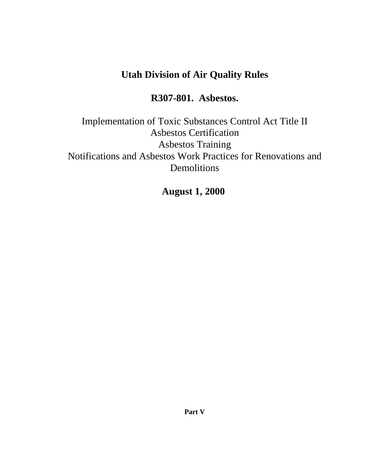# **Utah Division of Air Quality Rules**

# **R307-801. Asbestos.**

Implementation of Toxic Substances Control Act Title II Asbestos Certification Asbestos Training Notifications and Asbestos Work Practices for Renovations and Demolitions

**August 1, 2000**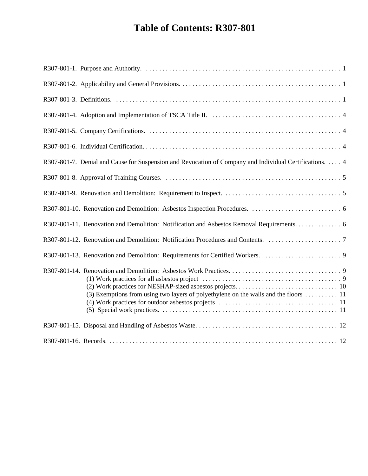# **Table of Contents: R307-801**

| R307-801-7. Denial and Cause for Suspension and Revocation of Company and Individual Certifications. 4 |
|--------------------------------------------------------------------------------------------------------|
|                                                                                                        |
|                                                                                                        |
|                                                                                                        |
| R307-801-11. Renovation and Demolition: Notification and Asbestos Removal Requirements 6               |
|                                                                                                        |
|                                                                                                        |
| (3) Exemptions from using two layers of polyethylene on the walls and the floors  11                   |
|                                                                                                        |
|                                                                                                        |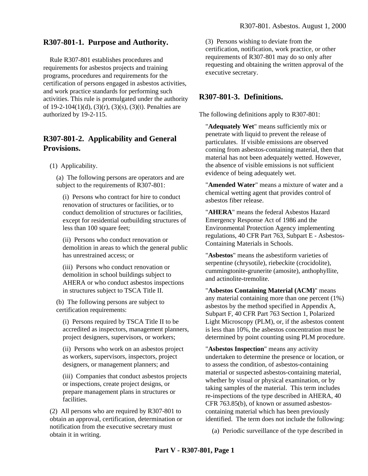#### **R307-801-1. Purpose and Authority.**

Rule R307-801 establishes procedures and requirements for asbestos projects and training programs, procedures and requirements for the certification of persons engaged in asbestos activities, and work practice standards for performing such activities. This rule is promulgated under the authority of 19-2-104(1)(d), (3)(r), (3)(s), (3)(t). Penalties are authorized by 19-2-115.

#### **R307-801-2. Applicability and General Provisions.**

(1) Applicability.

(a) The following persons are operators and are subject to the requirements of R307-801:

(i) Persons who contract for hire to conduct renovation of structures or facilities, or to conduct demolition of structures or facilities, except for residential outbuilding structures of less than 100 square feet;

(ii) Persons who conduct renovation or demolition in areas to which the general public has unrestrained access; or

(iii) Persons who conduct renovation or demolition in school buildings subject to AHERA or who conduct asbestos inspections in structures subject to TSCA Title II.

(b) The following persons are subject to certification requirements:

(i) Persons required by TSCA Title II to be accredited as inspectors, management planners, project designers, supervisors, or workers;

(ii) Persons who work on an asbestos project as workers, supervisors, inspectors, project designers, or management planners; and

(iii) Companies that conduct asbestos projects or inspections, create project designs, or prepare management plans in structures or facilities.

(2) All persons who are required by R307-801 to obtain an approval, certification, determination or notification from the executive secretary must obtain it in writing.

(3) Persons wishing to deviate from the certification, notification, work practice, or other requirements of R307-801 may do so only after requesting and obtaining the written approval of the executive secretary.

#### **R307-801-3. Definitions.**

The following definitions apply to R307-801:

"**Adequately Wet**" means sufficiently mix or penetrate with liquid to prevent the release of particulates. If visible emissions are observed coming from asbestos-containing material, then that material has not been adequately wetted. However, the absence of visible emissions is not sufficient evidence of being adequately wet.

"**Amended Water**" means a mixture of water and a chemical wetting agent that provides control of asbestos fiber release.

"**AHERA**" means the federal Asbestos Hazard Emergency Response Act of 1986 and the Environmental Protection Agency implementing regulations, 40 CFR Part 763, Subpart E - Asbestos-Containing Materials in Schools.

"**Asbestos**" means the asbestiform varieties of serpentine (chrysotile), riebeckite (crocidolite), cummingtonite-grunerite (amosite), anthophyllite, and actinolite-tremolite.

"**Asbestos Containing Material (ACM)**" means any material containing more than one percent (1%) asbestos by the method specified in Appendix A, Subpart F, 40 CFR Part 763 Section 1, Polarized Light Microscopy (PLM), or, if the asbestos content is less than 10%, the asbestos concentration must be determined by point counting using PLM procedure.

"**Asbestos Inspection**" means any activity undertaken to determine the presence or location, or to assess the condition, of asbestos-containing material or suspected asbestos-containing material, whether by visual or physical examination, or by taking samples of the material. This term includes re-inspections of the type described in AHERA, 40 CFR 763.85(b), of known or assumed asbestoscontaining material which has been previously identified. The term does not include the following:

(a) Periodic surveillance of the type described in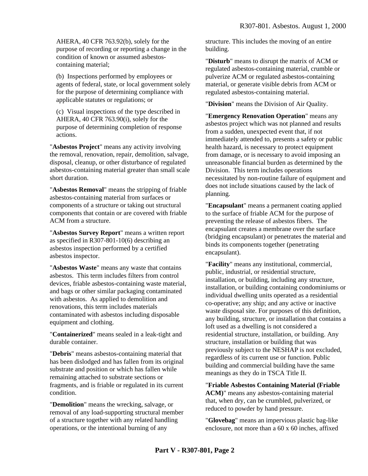AHERA, 40 CFR 763.92(b), solely for the purpose of recording or reporting a change in the condition of known or assumed asbestoscontaining material;

(b) Inspections performed by employees or agents of federal, state, or local government solely for the purpose of determining compliance with applicable statutes or regulations; or

(c) Visual inspections of the type described in AHERA, 40 CFR 763.90(i), solely for the purpose of determining completion of response actions.

"**Asbestos Project**" means any activity involving the removal, renovation, repair, demolition, salvage, disposal, cleanup, or other disturbance of regulated asbestos-containing material greater than small scale short duration.

"**Asbestos Removal**" means the stripping of friable asbestos-containing material from surfaces or components of a structure or taking out structural components that contain or are covered with friable ACM from a structure.

"**Asbestos Survey Report**" means a written report as specified in R307-801-10(6) describing an asbestos inspection performed by a certified asbestos inspector.

"**Asbestos Waste**" means any waste that contains asbestos. This term includes filters from control devices, friable asbestos-containing waste material, and bags or other similar packaging contaminated with asbestos. As applied to demolition and renovations, this term includes materials contaminated with asbestos including disposable equipment and clothing.

"**Containerized**" means sealed in a leak-tight and durable container.

"**Debris**" means asbestos-containing material that has been dislodged and has fallen from its original substrate and position or which has fallen while remaining attached to substrate sections or fragments, and is friable or regulated in its current condition.

"**Demolition**" means the wrecking, salvage, or removal of any load-supporting structural member of a structure together with any related handling operations, or the intentional burning of any

structure. This includes the moving of an entire building.

"**Disturb**" means to disrupt the matrix of ACM or regulated asbestos-containing material, crumble or pulverize ACM or regulated asbestos-containing material, or generate visible debris from ACM or regulated asbestos-containing material.

"**Division**" means the Division of Air Quality.

"**Emergency Renovation Operation**" means any asbestos project which was not planned and results from a sudden, unexpected event that, if not immediately attended to, presents a safety or public health hazard, is necessary to protect equipment from damage, or is necessary to avoid imposing an unreasonable financial burden as determined by the Division. This term includes operations necessitated by non-routine failure of equipment and does not include situations caused by the lack of planning.

"**Encapsulant**" means a permanent coating applied to the surface of friable ACM for the purpose of preventing the release of asbestos fibers. The encapsulant creates a membrane over the surface (bridging encapsulant) or penetrates the material and binds its components together (penetrating encapsulant).

"**Facility**" means any institutional, commercial, public, industrial, or residential structure, installation, or building, including any structure, installation, or building containing condominiums or individual dwelling units operated as a residential co-operative; any ship; and any active or inactive waste disposal site. For purposes of this definition, any building, structure, or installation that contains a loft used as a dwelling is not considered a residential structure, installation, or building. Any structure, installation or building that was previously subject to the NESHAP is not excluded, regardless of its current use or function. Public building and commercial building have the same meanings as they do in TSCA Title II.

"**Friable Asbestos Containing Material (Friable ACM)**" means any asbestos-containing material that, when dry, can be crumbled, pulverized, or reduced to powder by hand pressure.

"**Glovebag**" means an impervious plastic bag-like enclosure, not more than a 60 x 60 inches, affixed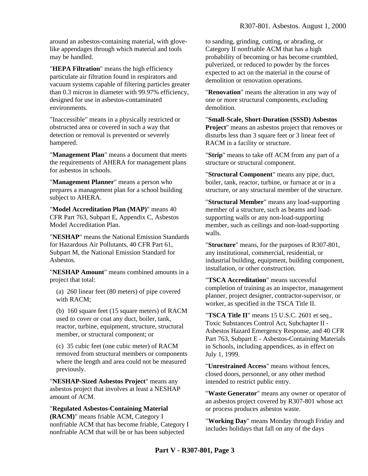around an asbestos-containing material, with glovelike appendages through which material and tools may be handled.

"**HEPA Filtration**" means the high efficiency particulate air filtration found in respirators and vacuum systems capable of filtering particles greater than 0.3 micron in diameter with 99.97% efficiency, designed for use in asbestos-contaminated environments.

"Inaccessible" means in a physically restricted or obstructed area or covered in such a way that detection or removal is prevented or severely hampered.

"**Management Plan**" means a document that meets the requirements of AHERA for management plans for asbestos in schools.

"**Management Planner**" means a person who prepares a management plan for a school building subject to AHERA.

"**Model Accreditation Plan (MAP)**" means 40 CFR Part 763, Subpart E, Appendix C, Asbestos Model Accreditation Plan.

"**NESHAP**" means the National Emission Standards for Hazardous Air Pollutants, 40 CFR Part 61, Subpart M, the National Emission Standard for Asbestos.

"**NESHAP Amount**" means combined amounts in a project that total:

(a) 260 linear feet (80 meters) of pipe covered with RACM;

(b) 160 square feet (15 square meters) of RACM used to cover or coat any duct, boiler, tank, reactor, turbine, equipment, structure, structural member, or structural component; or

(c) 35 cubic feet (one cubic meter) of RACM removed from structural members or components where the length and area could not be measured previously.

"**NESHAP-Sized Asbestos Project**" means any asbestos project that involves at least a NESHAP amount of ACM.

"**Regulated Asbestos-Containing Material (RACM)**" means friable ACM, Category I nonfriable ACM that has become friable, Category I nonfriable ACM that will be or has been subjected

to sanding, grinding, cutting, or abrading, or Category II nonfriable ACM that has a high probability of becoming or has become crumbled, pulverized, or reduced to powder by the forces expected to act on the material in the course of demolition or renovation operations.

"**Renovation**" means the alteration in any way of one or more structural components, excluding demolition.

"**Small-Scale, Short-Duration (SSSD) Asbestos Project**" means an asbestos project that removes or disturbs less than 3 square feet or 3 linear feet of RACM in a facility or structure.

"**Strip**" means to take off ACM from any part of a structure or structural component.

"**Structural Component**" means any pipe, duct, boiler, tank, reactor, turbine, or furnace at or in a structure, or any structural member of the structure.

"**Structural Member**" means any load-supporting member of a structure, such as beams and loadsupporting walls or any non-load-supporting member, such as ceilings and non-load-supporting walls.

"**Structure**" means, for the purposes of R307-801, any institutional, commercial, residential, or industrial building, equipment, building component, installation, or other construction.

"**TSCA Accreditation**" means successful completion of training as an inspector, management planner, project designer, contractor-supervisor, or worker, as specified in the TSCA Title II.

"**TSCA Title II**" means 15 U.S.C. 2601 et seq., Toxic Substances Control Act, Subchapter II - Asbestos Hazard Emergency Response, and 40 CFR Part 763, Subpart E - Asbestos-Containing Materials in Schools, including appendices, as in effect on July 1, 1999.

"**Unrestrained Access**" means without fences, closed doors, personnel, or any other method intended to restrict public entry.

"**Waste Generator**" means any owner or operator of an asbestos project covered by R307-801 whose act or process produces asbestos waste.

"**Working Day**" means Monday through Friday and includes holidays that fall on any of the days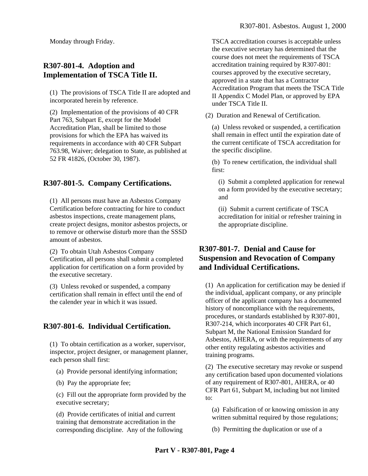Monday through Friday.

#### **R307-801-4. Adoption and Implementation of TSCA Title II.**

(1) The provisions of TSCA Title II are adopted and incorporated herein by reference.

(2) Implementation of the provisions of 40 CFR Part 763, Subpart E, except for the Model Accreditation Plan, shall be limited to those provisions for which the EPA has waived its requirements in accordance with 40 CFR Subpart 763.98, Waiver; delegation to State, as published at 52 FR 41826, (October 30, 1987).

### **R307-801-5. Company Certifications.**

(1) All persons must have an Asbestos Company Certification before contracting for hire to conduct asbestos inspections, create management plans, create project designs, monitor asbestos projects, or to remove or otherwise disturb more than the SSSD amount of asbestos.

(2) To obtain Utah Asbestos Company Certification, all persons shall submit a completed application for certification on a form provided by the executive secretary.

(3) Unless revoked or suspended, a company certification shall remain in effect until the end of the calender year in which it was issued.

#### **R307-801-6. Individual Certification.**

(1) To obtain certification as a worker, supervisor, inspector, project designer, or management planner, each person shall first:

(a) Provide personal identifying information;

(b) Pay the appropriate fee;

(c) Fill out the appropriate form provided by the executive secretary;

(d) Provide certificates of initial and current training that demonstrate accreditation in the corresponding discipline. Any of the following TSCA accreditation courses is acceptable unless the executive secretary has determined that the course does not meet the requirements of TSCA accreditation training required by R307-801: courses approved by the executive secretary, approved in a state that has a Contractor Accreditation Program that meets the TSCA Title II Appendix C Model Plan, or approved by EPA under TSCA Title II.

(2) Duration and Renewal of Certification.

(a) Unless revoked or suspended, a certification shall remain in effect until the expiration date of the current certificate of TSCA accreditation for the specific discipline.

(b) To renew certification, the individual shall first:

(i) Submit a completed application for renewal on a form provided by the executive secretary; and

(ii) Submit a current certificate of TSCA accreditation for initial or refresher training in the appropriate discipline.

### **R307-801-7. Denial and Cause for Suspension and Revocation of Company and Individual Certifications.**

(1) An application for certification may be denied if the individual, applicant company, or any principle officer of the applicant company has a documented history of noncompliance with the requirements, procedures, or standards established by R307-801, R307-214, which incorporates 40 CFR Part 61, Subpart M, the National Emission Standard for Asbestos, AHERA, or with the requirements of any other entity regulating asbestos activities and training programs.

(2) The executive secretary may revoke or suspend any certification based upon documented violations of any requirement of R307-801, AHERA, or 40 CFR Part 61, Subpart M, including but not limited to:

(a) Falsification of or knowing omission in any written submittal required by those regulations;

(b) Permitting the duplication or use of a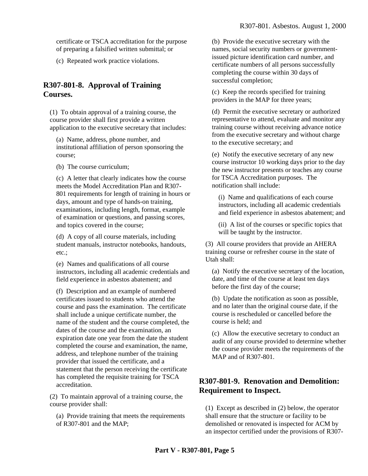certificate or TSCA accreditation for the purpose of preparing a falsified written submittal; or

(c) Repeated work practice violations.

## **R307-801-8. Approval of Training Courses.**

(1) To obtain approval of a training course, the course provider shall first provide a written application to the executive secretary that includes:

(a) Name, address, phone number, and institutional affiliation of person sponsoring the course;

(b) The course curriculum;

(c) A letter that clearly indicates how the course meets the Model Accreditation Plan and R307- 801 requirements for length of training in hours or days, amount and type of hands-on training, examinations, including length, format, example of examination or questions, and passing scores, and topics covered in the course;

(d) A copy of all course materials, including student manuals, instructor notebooks, handouts, etc.;

(e) Names and qualifications of all course instructors, including all academic credentials and field experience in asbestos abatement; and

(f) Description and an example of numbered certificates issued to students who attend the course and pass the examination. The certificate shall include a unique certificate number, the name of the student and the course completed, the dates of the course and the examination, an expiration date one year from the date the student completed the course and examination, the name, address, and telephone number of the training provider that issued the certificate, and a statement that the person receiving the certificate has completed the requisite training for TSCA accreditation.

(2) To maintain approval of a training course, the course provider shall:

(a) Provide training that meets the requirements of R307-801 and the MAP;

(b) Provide the executive secretary with the names, social security numbers or governmentissued picture identification card number, and certificate numbers of all persons successfully completing the course within 30 days of successful completion;

(c) Keep the records specified for training providers in the MAP for three years;

(d) Permit the executive secretary or authorized representative to attend, evaluate and monitor any training course without receiving advance notice from the executive secretary and without charge to the executive secretary; and

(e) Notify the executive secretary of any new course instructor 10 working days prior to the day the new instructor presents or teaches any course for TSCA Accreditation purposes. The notification shall include:

(i) Name and qualifications of each course instructors, including all academic credentials and field experience in asbestos abatement; and

(ii) A list of the courses or specific topics that will be taught by the instructor.

(3) All course providers that provide an AHERA training course or refresher course in the state of Utah shall:

(a) Notify the executive secretary of the location, date, and time of the course at least ten days before the first day of the course;

(b) Update the notification as soon as possible, and no later than the original course date, if the course is rescheduled or cancelled before the course is held; and

(c) Allow the executive secretary to conduct an audit of any course provided to determine whether the course provider meets the requirements of the MAP and of R307-801.

# **R307-801-9. Renovation and Demolition: Requirement to Inspect.**

(1) Except as described in (2) below, the operator shall ensure that the structure or facility to be demolished or renovated is inspected for ACM by an inspector certified under the provisions of R307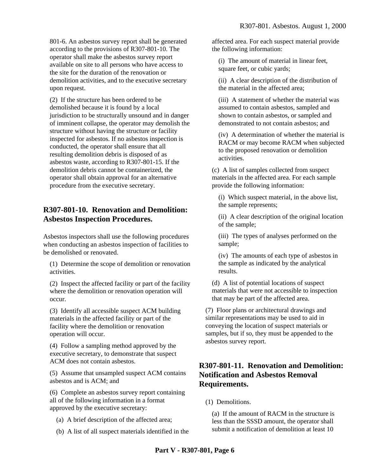801-6. An asbestos survey report shall be generated according to the provisions of R307-801-10. The operator shall make the asbestos survey report available on site to all persons who have access to the site for the duration of the renovation or demolition activities, and to the executive secretary upon request.

(2) If the structure has been ordered to be demolished because it is found by a local jurisdiction to be structurally unsound and in danger of imminent collapse, the operator may demolish the structure without having the structure or facility inspected for asbestos. If no asbestos inspection is conducted, the operator shall ensure that all resulting demolition debris is disposed of as asbestos waste, according to R307-801-15. If the demolition debris cannot be containerized, the operator shall obtain approval for an alternative procedure from the executive secretary.

# **R307-801-10. Renovation and Demolition: Asbestos Inspection Procedures.**

Asbestos inspectors shall use the following procedures when conducting an asbestos inspection of facilities to be demolished or renovated.

(1) Determine the scope of demolition or renovation activities.

(2) Inspect the affected facility or part of the facility where the demolition or renovation operation will occur.

(3) Identify all accessible suspect ACM building materials in the affected facility or part of the facility where the demolition or renovation operation will occur.

(4) Follow a sampling method approved by the executive secretary, to demonstrate that suspect ACM does not contain asbestos.

(5) Assume that unsampled suspect ACM contains asbestos and is ACM; and

(6) Complete an asbestos survey report containing all of the following information in a format approved by the executive secretary:

- (a) A brief description of the affected area;
- (b) A list of all suspect materials identified in the

affected area. For each suspect material provide the following information:

(i) The amount of material in linear feet, square feet, or cubic yards;

(ii) A clear description of the distribution of the material in the affected area;

(iii) A statement of whether the material was assumed to contain asbestos, sampled and shown to contain asbestos, or sampled and demonstrated to not contain asbestos; and

(iv) A determination of whether the material is RACM or may become RACM when subjected to the proposed renovation or demolition activities.

(c) A list of samples collected from suspect materials in the affected area. For each sample provide the following information:

(i) Which suspect material, in the above list, the sample represents;

(ii) A clear description of the original location of the sample;

(iii) The types of analyses performed on the sample;

(iv) The amounts of each type of asbestos in the sample as indicated by the analytical results.

(d) A list of potential locations of suspect materials that were not accessible to inspection that may be part of the affected area.

(7) Floor plans or architectural drawings and similar representations may be used to aid in conveying the location of suspect materials or samples, but if so, they must be appended to the asbestos survey report.

## **R307-801-11. Renovation and Demolition: Notification and Asbestos Removal Requirements.**

(1) Demolitions.

(a) If the amount of RACM in the structure is less than the SSSD amount, the operator shall submit a notification of demolition at least 10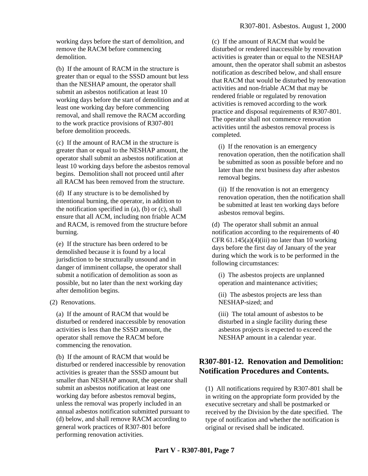working days before the start of demolition, and remove the RACM before commencing demolition.

(b) If the amount of RACM in the structure is greater than or equal to the SSSD amount but less than the NESHAP amount, the operator shall submit an asbestos notification at least 10 working days before the start of demolition and at least one working day before commencing removal, and shall remove the RACM according to the work practice provisions of R307-801 before demolition proceeds.

(c) If the amount of RACM in the structure is greater than or equal to the NESHAP amount, the operator shall submit an asbestos notification at least 10 working days before the asbestos removal begins. Demolition shall not proceed until after all RACM has been removed from the structure.

(d) If any structure is to be demolished by intentional burning, the operator, in addition to the notification specified in  $(a)$ ,  $(b)$  or  $(c)$ , shall ensure that all ACM, including non friable ACM and RACM, is removed from the structure before burning.

(e) If the structure has been ordered to be demolished because it is found by a local jurisdiction to be structurally unsound and in danger of imminent collapse, the operator shall submit a notification of demolition as soon as possible, but no later than the next working day after demolition begins.

(2) Renovations.

(a) If the amount of RACM that would be disturbed or rendered inaccessible by renovation activities is less than the SSSD amount, the operator shall remove the RACM before commencing the renovation.

(b) If the amount of RACM that would be disturbed or rendered inaccessible by renovation activities is greater than the SSSD amount but smaller than NESHAP amount, the operator shall submit an asbestos notification at least one working day before asbestos removal begins, unless the removal was properly included in an annual asbestos notification submitted pursuant to (d) below, and shall remove RACM according to general work practices of R307-801 before performing renovation activities.

(c) If the amount of RACM that would be disturbed or rendered inaccessible by renovation activities is greater than or equal to the NESHAP amount, then the operator shall submit an asbestos notification as described below, and shall ensure that RACM that would be disturbed by renovation activities and non-friable ACM that may be rendered friable or regulated by renovation activities is removed according to the work practice and disposal requirements of R307-801. The operator shall not commence renovation activities until the asbestos removal process is completed.

(i) If the renovation is an emergency renovation operation, then the notification shall be submitted as soon as possible before and no later than the next business day after asbestos removal begins.

(ii) If the renovation is not an emergency renovation operation, then the notification shall be submitted at least ten working days before asbestos removal begins.

(d) The operator shall submit an annual notification according to the requirements of 40 CFR  $61.145(a)(4)(iii)$  no later than 10 working days before the first day of January of the year during which the work is to be performed in the following circumstances:

(i) The asbestos projects are unplanned operation and maintenance activities;

(ii) The asbestos projects are less than NESHAP-sized; and

(iii) The total amount of asbestos to be disturbed in a single facility during these asbestos projects is expected to exceed the NESHAP amount in a calendar year.

# **R307-801-12. Renovation and Demolition: Notification Procedures and Contents.**

(1) All notifications required by R307-801 shall be in writing on the appropriate form provided by the executive secretary and shall be postmarked or received by the Division by the date specified. The type of notification and whether the notification is original or revised shall be indicated.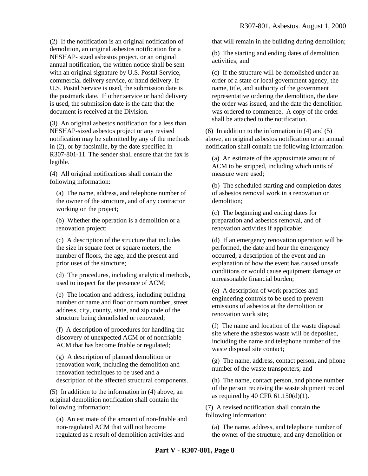(2) If the notification is an original notification of demolition, an original asbestos notification for a NESHAP- sized asbestos project, or an original annual notification, the written notice shall be sent with an original signature by U.S. Postal Service, commercial delivery service, or hand delivery. If U.S. Postal Service is used, the submission date is the postmark date. If other service or hand delivery is used, the submission date is the date that the document is received at the Division.

(3) An original asbestos notification for a less than NESHAP-sized asbestos project or any revised notification may be submitted by any of the methods in (2), or by facsimile, by the date specified in R307-801-11. The sender shall ensure that the fax is legible.

(4) All original notifications shall contain the following information:

(a) The name, address, and telephone number of the owner of the structure, and of any contractor working on the project;

(b) Whether the operation is a demolition or a renovation project;

(c) A description of the structure that includes the size in square feet or square meters, the number of floors, the age, and the present and prior uses of the structure;

(d) The procedures, including analytical methods, used to inspect for the presence of ACM;

(e) The location and address, including building number or name and floor or room number, street address, city, county, state, and zip code of the structure being demolished or renovated;

(f) A description of procedures for handling the discovery of unexpected ACM or of nonfriable ACM that has become friable or regulated;

(g) A description of planned demolition or renovation work, including the demolition and renovation techniques to be used and a description of the affected structural components.

(5) In addition to the information in (4) above, an original demolition notification shall contain the following information:

(a) An estimate of the amount of non-friable and non-regulated ACM that will not become regulated as a result of demolition activities and

that will remain in the building during demolition;

(b) The starting and ending dates of demolition activities; and

(c) If the structure will be demolished under an order of a state or local government agency, the name, title, and authority of the government representative ordering the demolition, the date the order was issued, and the date the demolition was ordered to commence. A copy of the order shall be attached to the notification.

(6) In addition to the information in (4) and (5) above, an original asbestos notification or an annual notification shall contain the following information:

(a) An estimate of the approximate amount of ACM to be stripped, including which units of measure were used;

(b) The scheduled starting and completion dates of asbestos removal work in a renovation or demolition;

(c) The beginning and ending dates for preparation and asbestos removal, and of renovation activities if applicable;

(d) If an emergency renovation operation will be performed, the date and hour the emergency occurred, a description of the event and an explanation of how the event has caused unsafe conditions or would cause equipment damage or unreasonable financial burden;

(e) A description of work practices and engineering controls to be used to prevent emissions of asbestos at the demolition or renovation work site;

(f) The name and location of the waste disposal site where the asbestos waste will be deposited, including the name and telephone number of the waste disposal site contact;

(g) The name, address, contact person, and phone number of the waste transporters; and

(h) The name, contact person, and phone number of the person receiving the waste shipment record as required by 40 CFR 61.150(d)(1).

(7) A revised notification shall contain the following information:

(a) The name, address, and telephone number of the owner of the structure, and any demolition or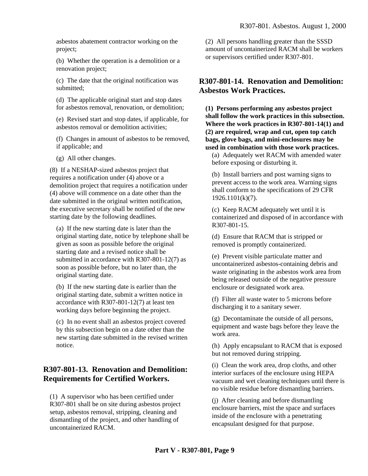asbestos abatement contractor working on the project;

(b) Whether the operation is a demolition or a renovation project;

(c) The date that the original notification was submitted;

(d) The applicable original start and stop dates for asbestos removal, renovation, or demolition;

(e) Revised start and stop dates, if applicable, for asbestos removal or demolition activities;

(f) Changes in amount of asbestos to be removed, if applicable; and

(g) All other changes.

(8) If a NESHAP-sized asbestos project that requires a notification under (4) above or a demolition project that requires a notification under (4) above will commence on a date other than the date submitted in the original written notification, the executive secretary shall be notified of the new starting date by the following deadlines.

(a) If the new starting date is later than the original starting date, notice by telephone shall be given as soon as possible before the original starting date and a revised notice shall be submitted in accordance with R307-801-12(7) as soon as possible before, but no later than, the original starting date.

(b) If the new starting date is earlier than the original starting date, submit a written notice in accordance with R307-801-12(7) at least ten working days before beginning the project.

(c) In no event shall an asbestos project covered by this subsection begin on a date other than the new starting date submitted in the revised written notice.

# **R307-801-13. Renovation and Demolition: Requirements for Certified Workers.**

(1) A supervisor who has been certified under R307-801 shall be on site during asbestos project setup, asbestos removal, stripping, cleaning and dismantling of the project, and other handling of uncontainerized RACM.

(2) All persons handling greater than the SSSD amount of uncontainerized RACM shall be workers or supervisors certified under R307-801.

# **R307-801-14. Renovation and Demolition: Asbestos Work Practices.**

**(1) Persons performing any asbestos project shall follow the work practices in this subsection. Where the work practices in R307-801-14(1) and (2) are required, wrap and cut, open top catch bags, glove bags, and mini-enclosures may be used in combination with those work practices.**

(a) Adequately wet RACM with amended water before exposing or disturbing it.

(b) Install barriers and post warning signs to prevent access to the work area. Warning signs shall conform to the specifications of 29 CFR 1926.1101(k)(7).

(c) Keep RACM adequately wet until it is containerized and disposed of in accordance with R307-801-15.

(d) Ensure that RACM that is stripped or removed is promptly containerized.

(e) Prevent visible particulate matter and uncontainerized asbestos-containing debris and waste originating in the asbestos work area from being released outside of the negative pressure enclosure or designated work area.

(f) Filter all waste water to 5 microns before discharging it to a sanitary sewer.

(g) Decontaminate the outside of all persons, equipment and waste bags before they leave the work area.

(h) Apply encapsulant to RACM that is exposed but not removed during stripping.

(i) Clean the work area, drop cloths, and other interior surfaces of the enclosure using HEPA vacuum and wet cleaning techniques until there is no visible residue before dismantling barriers.

(j) After cleaning and before dismantling enclosure barriers, mist the space and surfaces inside of the enclosure with a penetrating encapsulant designed for that purpose.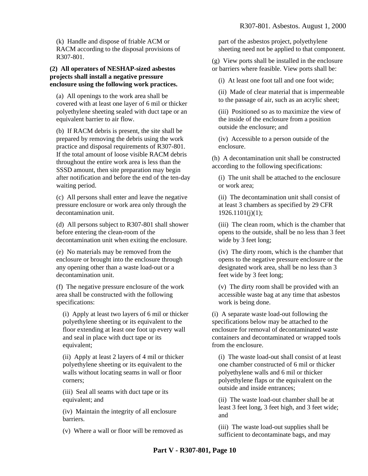(k) Handle and dispose of friable ACM or RACM according to the disposal provisions of R307-801.

#### **(2) All operators of NESHAP-sized asbestos projects shall install a negative pressure enclosure using the following work practices.**

(a) All openings to the work area shall be covered with at least one layer of 6 mil or thicker polyethylene sheeting sealed with duct tape or an equivalent barrier to air flow.

(b) If RACM debris is present, the site shall be prepared by removing the debris using the work practice and disposal requirements of R307-801. If the total amount of loose visible RACM debris throughout the entire work area is less than the SSSD amount, then site preparation may begin after notification and before the end of the ten-day waiting period.

(c) All persons shall enter and leave the negative pressure enclosure or work area only through the decontamination unit.

(d) All persons subject to R307-801 shall shower before entering the clean-room of the decontamination unit when exiting the enclosure.

(e) No materials may be removed from the enclosure or brought into the enclosure through any opening other than a waste load-out or a decontamination unit.

(f) The negative pressure enclosure of the work area shall be constructed with the following specifications:

(i) Apply at least two layers of 6 mil or thicker polyethylene sheeting or its equivalent to the floor extending at least one foot up every wall and seal in place with duct tape or its equivalent;

(ii) Apply at least 2 layers of 4 mil or thicker polyethylene sheeting or its equivalent to the walls without locating seams in wall or floor corners;

(iii) Seal all seams with duct tape or its equivalent; and

(iv) Maintain the integrity of all enclosure barriers.

(v) Where a wall or floor will be removed as

part of the asbestos project, polyethylene sheeting need not be applied to that component.

(g) View ports shall be installed in the enclosure or barriers where feasible. View ports shall be:

(i) At least one foot tall and one foot wide;

(ii) Made of clear material that is impermeable to the passage of air, such as an acrylic sheet;

(iii) Positioned so as to maximize the view of the inside of the enclosure from a position outside the enclosure; and

(iv) Accessible to a person outside of the enclosure.

(h) A decontamination unit shall be constructed according to the following specifications:

(i) The unit shall be attached to the enclosure or work area;

(ii) The decontamination unit shall consist of at least 3 chambers as specified by 29 CFR  $1926.1101(i)(1);$ 

(iii) The clean room, which is the chamber that opens to the outside, shall be no less than 3 feet wide by 3 feet long;

(iv) The dirty room, which is the chamber that opens to the negative pressure enclosure or the designated work area, shall be no less than 3 feet wide by 3 feet long;

(v) The dirty room shall be provided with an accessible waste bag at any time that asbestos work is being done.

(i) A separate waste load-out following the specifications below may be attached to the enclosure for removal of decontaminated waste containers and decontaminated or wrapped tools from the enclosure.

(i) The waste load-out shall consist of at least one chamber constructed of 6 mil or thicker polyethylene walls and 6 mil or thicker polyethylene flaps or the equivalent on the outside and inside entrances;

(ii) The waste load-out chamber shall be at least 3 feet long, 3 feet high, and 3 feet wide; and

(iii) The waste load-out supplies shall be sufficient to decontaminate bags, and may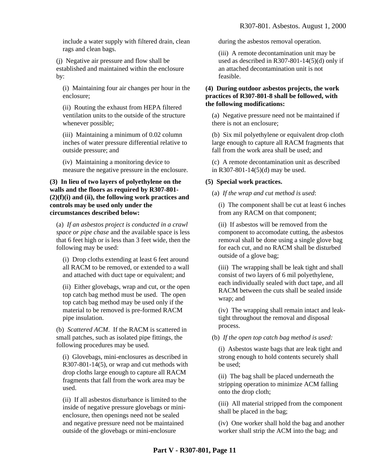include a water supply with filtered drain, clean rags and clean bags.

(j) Negative air pressure and flow shall be established and maintained within the enclosure by:

(i) Maintaining four air changes per hour in the enclosure;

(ii) Routing the exhaust from HEPA filtered ventilation units to the outside of the structure whenever possible;

(iii) Maintaining a minimum of 0.02 column inches of water pressure differential relative to outside pressure; and

(iv) Maintaining a monitoring device to measure the negative pressure in the enclosure.

#### **(3) In lieu of two layers of polyethylene on the walls and the floors as required by R307-801- (2)(f)(i) and (ii), the following work practices and controls may be used only under the circumstances described below:**

(a) *If an asbestos project is conducted in a crawl space or pipe chase* and the available space is less that 6 feet high or is less than 3 feet wide, then the following may be used:

(i) Drop cloths extending at least 6 feet around all RACM to be removed, or extended to a wall and attached with duct tape or equivalent; and

(ii) Either glovebags, wrap and cut, or the open top catch bag method must be used. The open top catch bag method may be used only if the material to be removed is pre-formed RACM pipe insulation.

(b) *Scattered ACM*. If the RACM is scattered in small patches, such as isolated pipe fittings, the following procedures may be used.

(i) Glovebags, mini-enclosures as described in R307-801-14(5), or wrap and cut methods with drop cloths large enough to capture all RACM fragments that fall from the work area may be used.

(ii) If all asbestos disturbance is limited to the inside of negative pressure glovebags or minienclosure, then openings need not be sealed and negative pressure need not be maintained outside of the glovebags or mini-enclosure

during the asbestos removal operation.

(iii) A remote decontamination unit may be used as described in R307-801-14(5)(d) only if an attached decontamination unit is not feasible.

#### **(4) During outdoor asbestos projects, the work practices of R307-801-8 shall be followed, with the following modifications:**

(a) Negative pressure need not be maintained if there is not an enclosure;

(b) Six mil polyethylene or equivalent drop cloth large enough to capture all RACM fragments that fall from the work area shall be used; and

(c) A remote decontamination unit as described in R307-801-14(5)(d) may be used.

#### **(5) Special work practices.**

(a) *If the wrap and cut method is used*:

(i) The component shall be cut at least 6 inches from any RACM on that component;

(ii) If asbestos will be removed from the component to accomodate cutting, the asbestos removal shall be done using a single glove bag for each cut, and no RACM shall be disturbed outside of a glove bag;

(iii) The wrapping shall be leak tight and shall consist of two layers of 6 mil polyethylene, each individually sealed with duct tape, and all RACM between the cuts shall be sealed inside wrap; and

(iv) The wrapping shall remain intact and leaktight throughout the removal and disposal process.

(b) *If the open top catch bag method is used:*

(i) Asbestos waste bags that are leak tight and strong enough to hold contents securely shall be used;

(ii) The bag shall be placed underneath the stripping operation to minimize ACM falling onto the drop cloth;

(iii) All material stripped from the component shall be placed in the bag;

(iv) One worker shall hold the bag and another worker shall strip the ACM into the bag; and